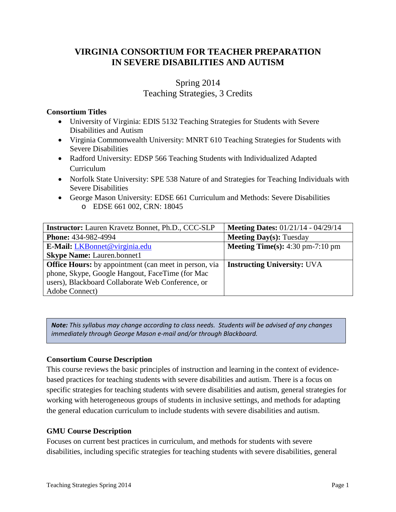# **VIRGINIA CONSORTIUM FOR TEACHER PREPARATION IN SEVERE DISABILITIES AND AUTISM**

# Spring 2014 Teaching Strategies, 3 Credits

# **Consortium Titles**

- University of Virginia: EDIS 5132 Teaching Strategies for Students with Severe Disabilities and Autism
- Virginia Commonwealth University: MNRT 610 Teaching Strategies for Students with Severe Disabilities
- Radford University: EDSP 566 Teaching Students with Individualized Adapted Curriculum
- Norfolk State University: SPE 538 Nature of and Strategies for Teaching Individuals with Severe Disabilities
- George Mason University: EDSE 661 Curriculum and Methods: Severe Disabilities o EDSE 661 002, CRN: 18045

| <b>Instructor:</b> Lauren Kravetz Bonnet, Ph.D., CCC-SLP     | <b>Meeting Dates: 01/21/14 - 04/29/14</b>                 |
|--------------------------------------------------------------|-----------------------------------------------------------|
| <b>Phone: 434-982-4994</b>                                   | <b>Meeting Day(s): Tuesday</b>                            |
| <b>E-Mail:</b> LKBonnet@virginia.edu                         | <b>Meeting Time(s):</b> $4:30 \text{ pm}-7:10 \text{ pm}$ |
| <b>Skype Name:</b> Lauren.bonnet1                            |                                                           |
| <b>Office Hours:</b> by appointment (can meet in person, via | <b>Instructing University: UVA</b>                        |
| phone, Skype, Google Hangout, FaceTime (for Mac              |                                                           |
| users), Blackboard Collaborate Web Conference, or            |                                                           |
| Adobe Connect)                                               |                                                           |

*Note: This syllabus may change according to class needs. Students will be advised of any changes immediately through George Mason e-mail and/or through Blackboard.*

# **Consortium Course Description**

This course reviews the basic principles of instruction and learning in the context of evidencebased practices for teaching students with severe disabilities and autism. There is a focus on specific strategies for teaching students with severe disabilities and autism, general strategies for working with heterogeneous groups of students in inclusive settings, and methods for adapting the general education curriculum to include students with severe disabilities and autism.

# **GMU Course Description**

Focuses on current best practices in curriculum, and methods for students with severe disabilities, including specific strategies for teaching students with severe disabilities, general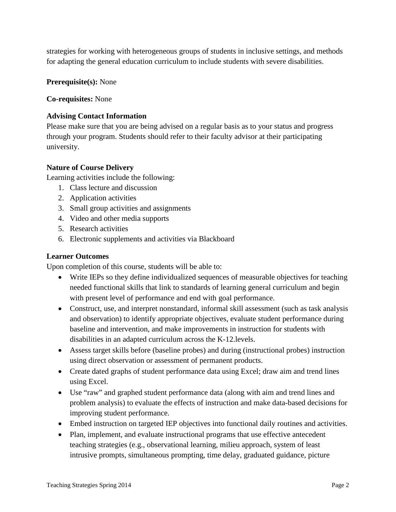strategies for working with heterogeneous groups of students in inclusive settings, and methods for adapting the general education curriculum to include students with severe disabilities.

**Prerequisite(s):** None

**Co-requisites:** None

### **Advising Contact Information**

Please make sure that you are being advised on a regular basis as to your status and progress through your program. Students should refer to their faculty advisor at their participating university.

## **Nature of Course Delivery**

Learning activities include the following:

- 1. Class lecture and discussion
- 2. Application activities
- 3. Small group activities and assignments
- 4. Video and other media supports
- 5. Research activities
- 6. Electronic supplements and activities via Blackboard

## **Learner Outcomes**

Upon completion of this course, students will be able to:

- Write IEPs so they define individualized sequences of measurable objectives for teaching needed functional skills that link to standards of learning general curriculum and begin with present level of performance and end with goal performance.
- Construct, use, and interpret nonstandard, informal skill assessment (such as task analysis and observation) to identify appropriate objectives, evaluate student performance during baseline and intervention, and make improvements in instruction for students with disabilities in an adapted curriculum across the K-12.levels.
- Assess target skills before (baseline probes) and during (instructional probes) instruction using direct observation or assessment of permanent products.
- Create dated graphs of student performance data using Excel; draw aim and trend lines using Excel.
- Use "raw" and graphed student performance data (along with aim and trend lines and problem analysis) to evaluate the effects of instruction and make data-based decisions for improving student performance.
- Embed instruction on targeted IEP objectives into functional daily routines and activities.
- Plan, implement, and evaluate instructional programs that use effective antecedent teaching strategies (e.g., observational learning, milieu approach, system of least intrusive prompts, simultaneous prompting, time delay, graduated guidance, picture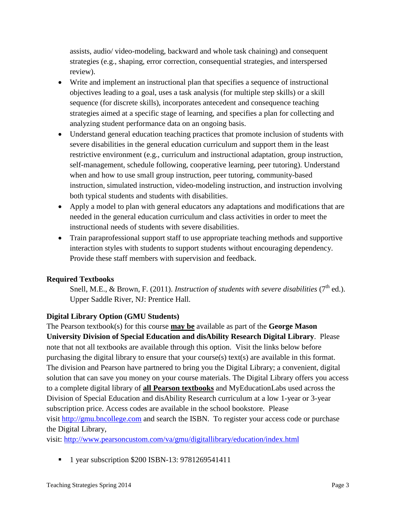assists, audio/ video-modeling, backward and whole task chaining) and consequent strategies (e.g., shaping, error correction, consequential strategies, and interspersed review).

- Write and implement an instructional plan that specifies a sequence of instructional objectives leading to a goal, uses a task analysis (for multiple step skills) or a skill sequence (for discrete skills), incorporates antecedent and consequence teaching strategies aimed at a specific stage of learning, and specifies a plan for collecting and analyzing student performance data on an ongoing basis.
- Understand general education teaching practices that promote inclusion of students with severe disabilities in the general education curriculum and support them in the least restrictive environment (e.g., curriculum and instructional adaptation, group instruction, self-management, schedule following, cooperative learning, peer tutoring). Understand when and how to use small group instruction, peer tutoring, community-based instruction, simulated instruction, video-modeling instruction, and instruction involving both typical students and students with disabilities.
- Apply a model to plan with general educators any adaptations and modifications that are needed in the general education curriculum and class activities in order to meet the instructional needs of students with severe disabilities.
- Train paraprofessional support staff to use appropriate teaching methods and supportive interaction styles with students to support students without encouraging dependency. Provide these staff members with supervision and feedback.

# **Required Textbooks**

Snell, M.E., & Brown, F. (2011). *Instruction of students with severe disabilities* (7<sup>th</sup> ed.). Upper Saddle River, NJ: Prentice Hall.

# **Digital Library Option (GMU Students)**

The Pearson textbook(s) for this course **may be** available as part of the **George Mason University Division of Special Education and disAbility Research Digital Library**. Please note that not all textbooks are available through this option. Visit the links below before purchasing the digital library to ensure that your course(s) text(s) are available in this format. The division and Pearson have partnered to bring you the Digital Library; a convenient, digital solution that can save you money on your course materials. The Digital Library offers you access to a complete digital library of **all Pearson textbooks** and MyEducationLabs used across the Division of Special Education and disAbility Research curriculum at a low 1-year or 3-year subscription price. Access codes are available in the school bookstore. Please visit [http://gmu.bncollege.com](http://gmu.bncollege.com/webapp/wcs/stores/servlet/BNCBHomePage?storeId=15552&catalogId=10001&langId=-1) and search the ISBN. To register your access code or purchase the Digital Library,

visit: <http://www.pearsoncustom.com/va/gmu/digitallibrary/education/index.html>

1 year subscription \$200 ISBN-13: 9781269541411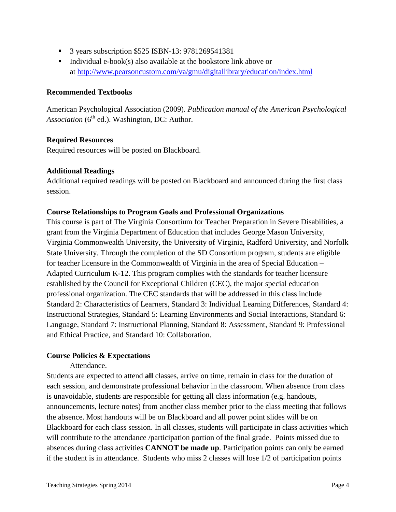- 3 years subscription \$525 ISBN-13: 9781269541381
- Individual e-book(s) also available at the bookstore link above or at<http://www.pearsoncustom.com/va/gmu/digitallibrary/education/index.html>

#### **Recommended Textbooks**

American Psychological Association (2009). *Publication manual of the American Psychological*  Association (6<sup>th</sup> ed.). Washington, DC: Author.

### **Required Resources**

Required resources will be posted on Blackboard.

### **Additional Readings**

Additional required readings will be posted on Blackboard and announced during the first class session.

### **Course Relationships to Program Goals and Professional Organizations**

This course is part of The Virginia Consortium for Teacher Preparation in Severe Disabilities, a grant from the Virginia Department of Education that includes George Mason University, Virginia Commonwealth University, the University of Virginia, Radford University, and Norfolk State University. Through the completion of the SD Consortium program, students are eligible for teacher licensure in the Commonwealth of Virginia in the area of Special Education – Adapted Curriculum K-12. This program complies with the standards for teacher licensure established by the Council for Exceptional Children (CEC), the major special education professional organization. The CEC standards that will be addressed in this class include Standard 2: Characteristics of Learners, Standard 3: Individual Learning Differences, Standard 4: Instructional Strategies, Standard 5: Learning Environments and Social Interactions, Standard 6: Language, Standard 7: Instructional Planning, Standard 8: Assessment, Standard 9: Professional and Ethical Practice, and Standard 10: Collaboration.

#### **Course Policies & Expectations**

Attendance.

Students are expected to attend **all** classes, arrive on time, remain in class for the duration of each session, and demonstrate professional behavior in the classroom. When absence from class is unavoidable, students are responsible for getting all class information (e.g. handouts, announcements, lecture notes) from another class member prior to the class meeting that follows the absence. Most handouts will be on Blackboard and all power point slides will be on Blackboard for each class session. In all classes, students will participate in class activities which will contribute to the attendance /participation portion of the final grade. Points missed due to absences during class activities **CANNOT be made up**. Participation points can only be earned if the student is in attendance. Students who miss 2 classes will lose 1/2 of participation points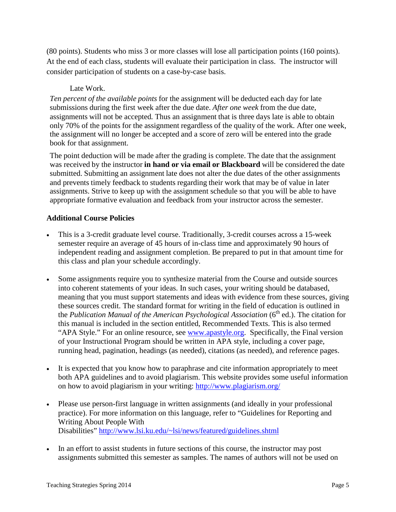(80 points). Students who miss 3 or more classes will lose all participation points (160 points). At the end of each class, students will evaluate their participation in class. The instructor will consider participation of students on a case-by-case basis.

# Late Work.

*Ten percent of the available points* for the assignment will be deducted each day for late submissions during the first week after the due date. *After one week* from the due date, assignments will not be accepted*.* Thus an assignment that is three days late is able to obtain only 70% of the points for the assignment regardless of the quality of the work. After one week, the assignment will no longer be accepted and a score of zero will be entered into the grade book for that assignment.

The point deduction will be made after the grading is complete. The date that the assignment was received by the instructor **in hand or via email or Blackboard** will be considered the date submitted. Submitting an assignment late does not alter the due dates of the other assignments and prevents timely feedback to students regarding their work that may be of value in later assignments. Strive to keep up with the assignment schedule so that you will be able to have appropriate formative evaluation and feedback from your instructor across the semester.

## **Additional Course Policies**

- This is a 3-credit graduate level course. Traditionally, 3-credit courses across a 15-week semester require an average of 45 hours of in-class time and approximately 90 hours of independent reading and assignment completion. Be prepared to put in that amount time for this class and plan your schedule accordingly.
- Some assignments require you to synthesize material from the Course and outside sources into coherent statements of your ideas. In such cases, your writing should be databased, meaning that you must support statements and ideas with evidence from these sources, giving these sources credit. The standard format for writing in the field of education is outlined in the *Publication Manual of the American Psychological Association* (6<sup>th</sup> ed.). The citation for this manual is included in the section entitled, Recommended Texts. This is also termed "APA Style." For an online resource, see [www.apastyle.org.](http://www.apastyle.org/) Specifically, the Final version of your Instructional Program should be written in APA style, including a cover page, running head, pagination, headings (as needed), citations (as needed), and reference pages.
- It is expected that you know how to paraphrase and cite information appropriately to meet both APA guidelines and to avoid plagiarism. This website provides some useful information on how to avoid plagiarism in your writing:<http://www.plagiarism.org/>
- Please use person-first language in written assignments (and ideally in your professional practice). For more information on this language, refer to "Guidelines for Reporting and Writing About People With Disabilities"<http://www.lsi.ku.edu/~lsi/news/featured/guidelines.shtml>
- In an effort to assist students in future sections of this course, the instructor may post assignments submitted this semester as samples. The names of authors will not be used on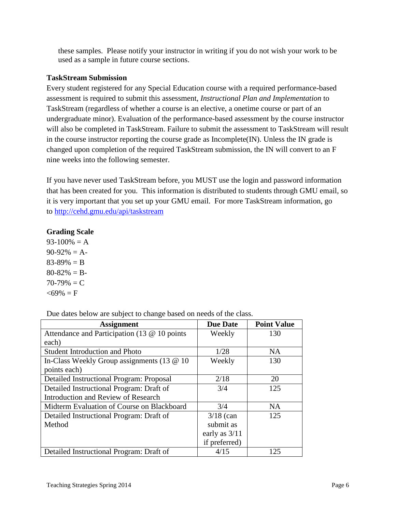these samples. Please notify your instructor in writing if you do not wish your work to be used as a sample in future course sections.

# **TaskStream Submission**

Every student registered for any Special Education course with a required performance-based assessment is required to submit this assessment, *Instructional Plan and Implementation* to TaskStream (regardless of whether a course is an elective, a onetime course or part of an undergraduate minor). Evaluation of the performance-based assessment by the course instructor will also be completed in TaskStream. Failure to submit the assessment to TaskStream will result in the course instructor reporting the course grade as Incomplete $(IN)$ . Unless the IN grade is changed upon completion of the required TaskStream submission, the IN will convert to an F nine weeks into the following semester.

If you have never used TaskStream before, you MUST use the login and password information that has been created for you. This information is distributed to students through GMU email, so it is very important that you set up your GMU email. For more TaskStream information, go to<http://cehd.gmu.edu/api/taskstream>

# **Grading Scale**

 $93-100% = A$  $90-92\% = A$  $83-89\% = B$  $80-82\% = B$  $70-79\% = C$  $<69\% = F$ 

Due dates below are subject to change based on needs of the class.

| <b>Assignment</b>                            | <b>Due Date</b> | <b>Point Value</b> |
|----------------------------------------------|-----------------|--------------------|
| Attendance and Participation (13 @ 10 points | Weekly          | 130                |
| each)                                        |                 |                    |
| <b>Student Introduction and Photo</b>        | 1/28            | NA                 |
| In-Class Weekly Group assignments (13 @ 10   | Weekly          | 130                |
| points each)                                 |                 |                    |
| Detailed Instructional Program: Proposal     | 2/18            | 20                 |
| Detailed Instructional Program: Draft of     | 3/4             | 125                |
| Introduction and Review of Research          |                 |                    |
| Midterm Evaluation of Course on Blackboard   | 3/4             | NA                 |
| Detailed Instructional Program: Draft of     | $3/18$ (can     | 125                |
| Method                                       | submit as       |                    |
|                                              | early as $3/11$ |                    |
|                                              | if preferred)   |                    |
| Detailed Instructional Program: Draft of     | 4/15            | 125                |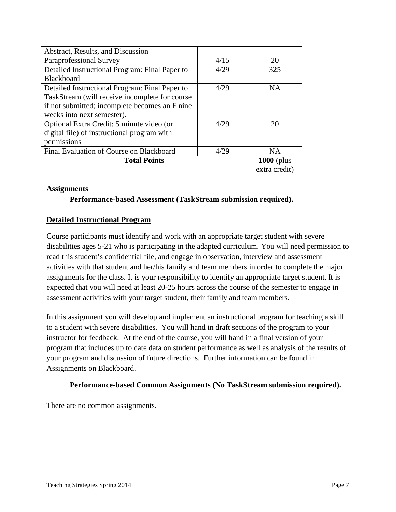| Abstract, Results, and Discussion              |              |               |
|------------------------------------------------|--------------|---------------|
| Paraprofessional Survey                        | 4/15         | 20            |
| Detailed Instructional Program: Final Paper to | 4/29         | 325           |
| Blackboard                                     |              |               |
| Detailed Instructional Program: Final Paper to | 4/29         | <b>NA</b>     |
| TaskStream (will receive incomplete for course |              |               |
| if not submitted; incomplete becomes an F nine |              |               |
| weeks into next semester).                     |              |               |
| Optional Extra Credit: 5 minute video (or      | 4/29         | 20            |
| digital file) of instructional program with    |              |               |
| permissions                                    |              |               |
| Final Evaluation of Course on Blackboard       | 4/29         | <b>NA</b>     |
| <b>Total Points</b>                            | $1000$ (plus |               |
|                                                |              | extra credit) |

#### **Assignments**

**Performance-based Assessment (TaskStream submission required).**

### **Detailed Instructional Program**

Course participants must identify and work with an appropriate target student with severe disabilities ages 5-21 who is participating in the adapted curriculum. You will need permission to read this student's confidential file, and engage in observation, interview and assessment activities with that student and her/his family and team members in order to complete the major assignments for the class. It is your responsibility to identify an appropriate target student. It is expected that you will need at least 20-25 hours across the course of the semester to engage in assessment activities with your target student, their family and team members.

In this assignment you will develop and implement an instructional program for teaching a skill to a student with severe disabilities. You will hand in draft sections of the program to your instructor for feedback. At the end of the course, you will hand in a final version of your program that includes up to date data on student performance as well as analysis of the results of your program and discussion of future directions. Further information can be found in Assignments on Blackboard.

#### **Performance-based Common Assignments (No TaskStream submission required).**

There are no common assignments.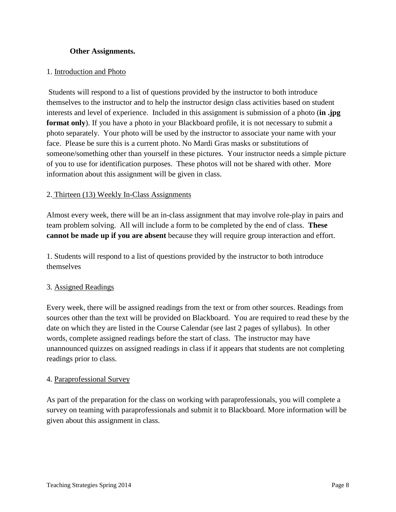### **Other Assignments.**

#### 1. Introduction and Photo

Students will respond to a list of questions provided by the instructor to both introduce themselves to the instructor and to help the instructor design class activities based on student interests and level of experience. Included in this assignment is submission of a photo (**in .jpg format only**). If you have a photo in your Blackboard profile, it is not necessary to submit a photo separately. Your photo will be used by the instructor to associate your name with your face. Please be sure this is a current photo. No Mardi Gras masks or substitutions of someone/something other than yourself in these pictures. Your instructor needs a simple picture of you to use for identification purposes. These photos will not be shared with other. More information about this assignment will be given in class.

### 2. Thirteen (13) Weekly In-Class Assignments

Almost every week, there will be an in-class assignment that may involve role-play in pairs and team problem solving. All will include a form to be completed by the end of class. **These cannot be made up if you are absent** because they will require group interaction and effort.

1. Students will respond to a list of questions provided by the instructor to both introduce themselves

#### 3. Assigned Readings

Every week, there will be assigned readings from the text or from other sources. Readings from sources other than the text will be provided on Blackboard. You are required to read these by the date on which they are listed in the Course Calendar (see last 2 pages of syllabus). In other words, complete assigned readings before the start of class. The instructor may have unannounced quizzes on assigned readings in class if it appears that students are not completing readings prior to class.

#### 4. Paraprofessional Survey

As part of the preparation for the class on working with paraprofessionals, you will complete a survey on teaming with paraprofessionals and submit it to Blackboard. More information will be given about this assignment in class.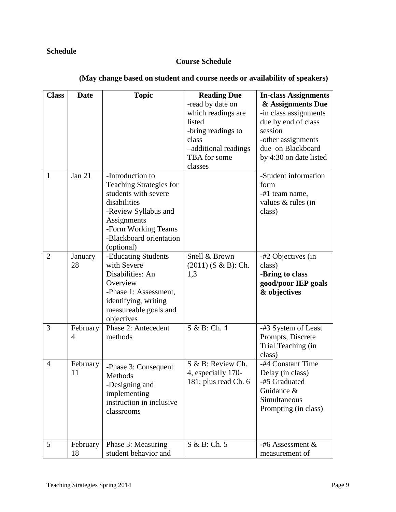# **Schedule**

# **Course Schedule**

| <b>Class</b>   | <b>Date</b>    | <b>Topic</b>                                                                                                                                              | <b>Reading Due</b>                   |                                                                              |
|----------------|----------------|-----------------------------------------------------------------------------------------------------------------------------------------------------------|--------------------------------------|------------------------------------------------------------------------------|
|                |                |                                                                                                                                                           |                                      | <b>In-class Assignments</b>                                                  |
|                |                |                                                                                                                                                           | -read by date on                     | & Assignments Due                                                            |
|                |                |                                                                                                                                                           | which readings are                   | -in class assignments                                                        |
|                |                |                                                                                                                                                           | listed                               | due by end of class                                                          |
|                |                |                                                                                                                                                           | -bring readings to                   | session                                                                      |
|                |                |                                                                                                                                                           | class                                | -other assignments                                                           |
|                |                |                                                                                                                                                           | -additional readings                 | due on Blackboard                                                            |
|                |                |                                                                                                                                                           | TBA for some                         | by 4:30 on date listed                                                       |
|                |                |                                                                                                                                                           | classes                              |                                                                              |
| $\mathbf{1}$   | Jan 21         | -Introduction to                                                                                                                                          |                                      | -Student information                                                         |
|                |                | <b>Teaching Strategies for</b>                                                                                                                            |                                      | form                                                                         |
|                |                | students with severe                                                                                                                                      |                                      | -#1 team name,                                                               |
|                |                | disabilities                                                                                                                                              |                                      | values & rules (in                                                           |
|                |                | -Review Syllabus and                                                                                                                                      |                                      | class)                                                                       |
|                |                | Assignments                                                                                                                                               |                                      |                                                                              |
|                |                | -Form Working Teams                                                                                                                                       |                                      |                                                                              |
|                |                | -Blackboard orientation                                                                                                                                   |                                      |                                                                              |
|                |                | (optional)                                                                                                                                                |                                      |                                                                              |
| $\overline{2}$ | January        | -Educating Students                                                                                                                                       | Snell & Brown                        | -#2 Objectives (in                                                           |
|                | 28             | with Severe                                                                                                                                               | $(2011)$ (S & B): Ch.                | class)                                                                       |
|                |                | Disabilities: An                                                                                                                                          | 1,3                                  | -Bring to class                                                              |
|                |                | Overview                                                                                                                                                  |                                      |                                                                              |
|                |                |                                                                                                                                                           |                                      | good/poor IEP goals                                                          |
|                |                | -Phase 1: Assessment,                                                                                                                                     |                                      | & objectives                                                                 |
|                |                | identifying, writing                                                                                                                                      |                                      |                                                                              |
|                |                | measureable goals and                                                                                                                                     |                                      |                                                                              |
|                |                | objectives                                                                                                                                                |                                      |                                                                              |
| 3              | February       | Phase 2: Antecedent                                                                                                                                       | S & B: Ch. 4                         | -#3 System of Least                                                          |
|                | $\overline{4}$ | methods                                                                                                                                                   |                                      | Prompts, Discrete                                                            |
|                |                |                                                                                                                                                           |                                      | Trial Teaching (in                                                           |
|                |                |                                                                                                                                                           |                                      | class)                                                                       |
| $\overline{4}$ | February       |                                                                                                                                                           | S & B: Review Ch.                    | -#4 Constant Time                                                            |
|                | 11             |                                                                                                                                                           | 4, especially 170-                   | Delay (in class)                                                             |
|                |                |                                                                                                                                                           |                                      | -#5 Graduated                                                                |
|                |                |                                                                                                                                                           |                                      | Guidance &                                                                   |
|                |                |                                                                                                                                                           |                                      |                                                                              |
|                |                |                                                                                                                                                           |                                      |                                                                              |
|                |                |                                                                                                                                                           |                                      |                                                                              |
|                |                |                                                                                                                                                           |                                      |                                                                              |
|                |                |                                                                                                                                                           |                                      |                                                                              |
|                |                |                                                                                                                                                           |                                      |                                                                              |
|                |                |                                                                                                                                                           |                                      |                                                                              |
| 5              | February<br>18 | -Phase 3: Consequent<br>Methods<br>-Designing and<br>implementing<br>instruction in inclusive<br>classrooms<br>Phase 3: Measuring<br>student behavior and | 181; plus read Ch. 6<br>S & B: Ch. 5 | Simultaneous<br>Prompting (in class)<br>$-#6$ Assessment &<br>measurement of |

# **(May change based on student and course needs or availability of speakers)**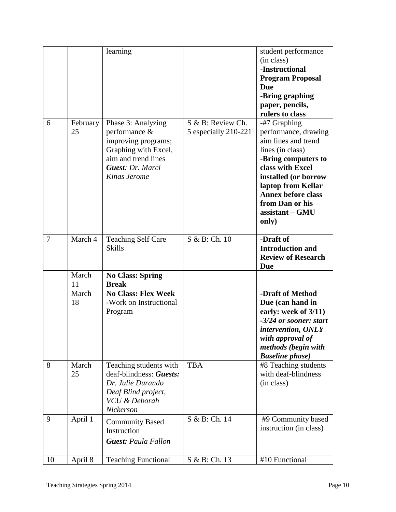|                |                | learning                                                                                                                                      |                                           | student performance<br>(in class)<br>-Instructional<br><b>Program Proposal</b><br><b>Due</b><br>-Bring graphing<br>paper, pencils,<br>rulers to class                                                                                                |
|----------------|----------------|-----------------------------------------------------------------------------------------------------------------------------------------------|-------------------------------------------|------------------------------------------------------------------------------------------------------------------------------------------------------------------------------------------------------------------------------------------------------|
| 6              | February<br>25 | Phase 3: Analyzing<br>performance &<br>improving programs;<br>Graphing with Excel,<br>aim and trend lines<br>Guest: Dr. Marci<br>Kinas Jerome | S & B: Review Ch.<br>5 especially 210-221 | -#7 Graphing<br>performance, drawing<br>aim lines and trend<br>lines (in class)<br>-Bring computers to<br>class with Excel<br>installed (or borrow<br>laptop from Kellar<br><b>Annex before class</b><br>from Dan or his<br>assistant – GMU<br>only) |
| $\overline{7}$ | March 4        | <b>Teaching Self Care</b><br><b>Skills</b>                                                                                                    | S & B: Ch. 10                             | -Draft of<br><b>Introduction and</b><br><b>Review of Research</b><br>Due                                                                                                                                                                             |
|                | March<br>11    | <b>No Class: Spring</b><br><b>Break</b>                                                                                                       |                                           |                                                                                                                                                                                                                                                      |
|                | March<br>18    | <b>No Class: Flex Week</b><br>-Work on Instructional<br>Program                                                                               |                                           | -Draft of Method<br>Due (can hand in<br>early: week of 3/11)<br>-3/24 or sooner: start<br>intervention, ONLY<br>with approval of<br>methods (begin with<br><b>Baseline</b> phase)                                                                    |
| 8              | March<br>25    | Teaching students with<br>deaf-blindness: Guests:<br>Dr. Julie Durando<br>Deaf Blind project,<br><b>VCU</b> & Deborah<br>Nickerson            | <b>TBA</b>                                | #8 Teaching students<br>with deaf-blindness<br>(in class)                                                                                                                                                                                            |
| 9              | April 1        | <b>Community Based</b><br>Instruction<br><b>Guest: Paula Fallon</b>                                                                           | S & B: Ch. 14                             | #9 Community based<br>instruction (in class)                                                                                                                                                                                                         |
| 10             | April 8        | <b>Teaching Functional</b>                                                                                                                    | S & B: Ch. 13                             | #10 Functional                                                                                                                                                                                                                                       |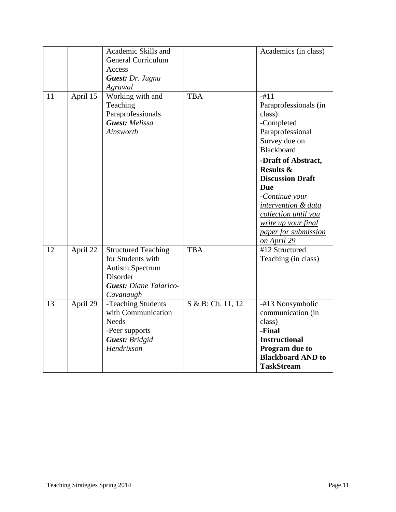|    |          | Academic Skills and<br><b>General Curriculum</b><br>Access<br>Guest: Dr. Jugnu<br>Agrawal                                           |                   | Academics (in class)                                                                                                                                                                                         |
|----|----------|-------------------------------------------------------------------------------------------------------------------------------------|-------------------|--------------------------------------------------------------------------------------------------------------------------------------------------------------------------------------------------------------|
| 11 | April 15 | Working with and<br>Teaching<br>Paraprofessionals<br><b>Guest:</b> Melissa<br>Ainsworth                                             | <b>TBA</b>        | $-#11$<br>Paraprofessionals (in<br>class)<br>-Completed<br>Paraprofessional<br>Survey due on<br>Blackboard                                                                                                   |
|    |          |                                                                                                                                     |                   | -Draft of Abstract,<br><b>Results &amp;</b><br><b>Discussion Draft</b><br>Due<br>-Continue your<br>intervention & data<br>collection until you<br>write up your final<br>paper for submission<br>on April 29 |
| 12 | April 22 | <b>Structured Teaching</b><br>for Students with<br><b>Autism Spectrum</b><br>Disorder<br><b>Guest: Diane Talarico-</b><br>Cavanaugh | <b>TBA</b>        | #12 Structured<br>Teaching (in class)                                                                                                                                                                        |
| 13 | April 29 | -Teaching Students<br>with Communication<br><b>Needs</b><br>-Peer supports<br><b>Guest: Bridgid</b><br>Hendrixson                   | S & B: Ch. 11, 12 | -#13 Nonsymbolic<br>communication (in<br>class)<br>-Final<br><b>Instructional</b><br>Program due to<br><b>Blackboard AND to</b><br><b>TaskStream</b>                                                         |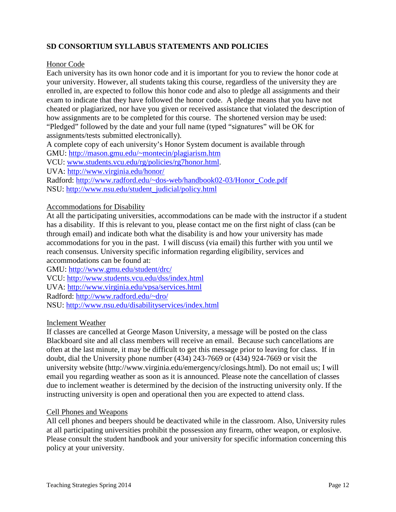# **SD CONSORTIUM SYLLABUS STATEMENTS AND POLICIES**

#### Honor Code

Each university has its own honor code and it is important for you to review the honor code at your university. However, all students taking this course, regardless of the university they are enrolled in, are expected to follow this honor code and also to pledge all assignments and their exam to indicate that they have followed the honor code. A pledge means that you have not cheated or plagiarized, nor have you given or received assistance that violated the description of how assignments are to be completed for this course. The shortened version may be used: "Pledged" followed by the date and your full name (typed "signatures" will be OK for assignments/tests submitted electronically).

A complete copy of each university's Honor System document is available through

GMU:<http://mason.gmu.edu/~montecin/plagiarism.htm>

VCU: [www.students.vcu.edu/rg/policies/rg7honor.html.](http://www.students.vcu.edu/rg/policies/rg7honor.html)

UVA:<http://www.virginia.edu/honor/>

Radford: [http://www.radford.edu/~dos-web/handbook02-03/Honor\\_Code.pdf](http://www.radford.edu/~dos-web/handbook02-03/Honor_Code.pdf) NSU: [http://www.nsu.edu/student\\_judicial/policy.html](http://www.nsu.edu/student_judicial/policy.html)

#### Accommodations for Disability

At all the participating universities, accommodations can be made with the instructor if a student has a disability. If this is relevant to you, please contact me on the first night of class (can be through email) and indicate both what the disability is and how your university has made accommodations for you in the past. I will discuss (via email) this further with you until we reach consensus. University specific information regarding eligibility, services and accommodations can be found at:

GMU:<http://www.gmu.edu/student/drc/> VCU:<http://www.students.vcu.edu/dss/index.html> UVA:<http://www.virginia.edu/vpsa/services.html> Radford:<http://www.radford.edu/~dro/> NSU:<http://www.nsu.edu/disabilityservices/index.html>

#### Inclement Weather

If classes are cancelled at George Mason University, a message will be posted on the class Blackboard site and all class members will receive an email. Because such cancellations are often at the last minute, it may be difficult to get this message prior to leaving for class. If in doubt, dial the University phone number (434) 243-7669 or (434) 924-7669 or visit the university website (http://www.virginia.edu/emergency/closings.html). Do not email us; I will email you regarding weather as soon as it is announced. Please note the cancellation of classes due to inclement weather is determined by the decision of the instructing university only. If the instructing university is open and operational then you are expected to attend class.

#### Cell Phones and Weapons

All cell phones and beepers should be deactivated while in the classroom. Also, University rules at all participating universities prohibit the possession any firearm, other weapon, or explosive. Please consult the student handbook and your university for specific information concerning this policy at your university.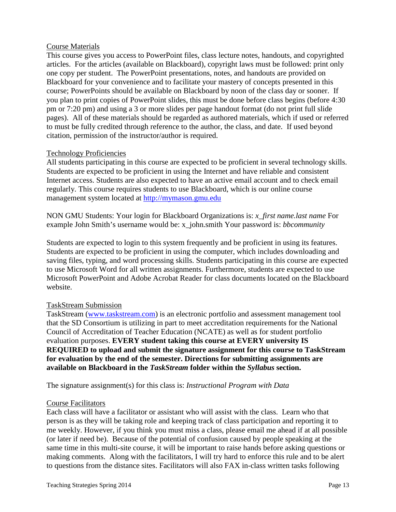### Course Materials

This course gives you access to PowerPoint files, class lecture notes, handouts, and copyrighted articles. For the articles (available on Blackboard), copyright laws must be followed: print only one copy per student. The PowerPoint presentations, notes, and handouts are provided on Blackboard for your convenience and to facilitate your mastery of concepts presented in this course; PowerPoints should be available on Blackboard by noon of the class day or sooner. If you plan to print copies of PowerPoint slides, this must be done before class begins (before 4:30 pm or 7:20 pm) and using a 3 or more slides per page handout format (do not print full slide pages). All of these materials should be regarded as authored materials, which if used or referred to must be fully credited through reference to the author, the class, and date. If used beyond citation, permission of the instructor/author is required.

### Technology Proficiencies

All students participating in this course are expected to be proficient in several technology skills. Students are expected to be proficient in using the Internet and have reliable and consistent Internet access. Students are also expected to have an active email account and to check email regularly. This course requires students to use Blackboard, which is our online course management system located at [http://mymason.gmu.edu](http://mymason.gmu.edu/) 

NON GMU Students: Your login for Blackboard Organizations is: *x\_first name.last name* For example John Smith's username would be: x\_john.smith Your password is: *bbcommunity*

Students are expected to login to this system frequently and be proficient in using its features. Students are expected to be proficient in using the computer, which includes downloading and saving files, typing, and word processing skills. Students participating in this course are expected to use Microsoft Word for all written assignments. Furthermore, students are expected to use Microsoft PowerPoint and Adobe Acrobat Reader for class documents located on the Blackboard website.

#### TaskStream Submission

TaskStream [\(www.taskstream.com\)](http://www.taskstream.com/) is an electronic portfolio and assessment management tool that the SD Consortium is utilizing in part to meet accreditation requirements for the National Council of Accreditation of Teacher Education (NCATE) as well as for student portfolio evaluation purposes. **EVERY student taking this course at EVERY university IS REQUIRED to upload and submit the signature assignment for this course to TaskStream for evaluation by the end of the semester. Directions for submitting assignments are available on Blackboard in the** *TaskStream* **folder within the** *Syllabus* **section.** 

The signature assignment(s) for this class is: *Instructional Program with Data*

#### Course Facilitators

Each class will have a facilitator or assistant who will assist with the class. Learn who that person is as they will be taking role and keeping track of class participation and reporting it to me weekly. However, if you think you must miss a class, please email me ahead if at all possible (or later if need be). Because of the potential of confusion caused by people speaking at the same time in this multi-site course, it will be important to raise hands before asking questions or making comments. Along with the facilitators, I will try hard to enforce this rule and to be alert to questions from the distance sites. Facilitators will also FAX in-class written tasks following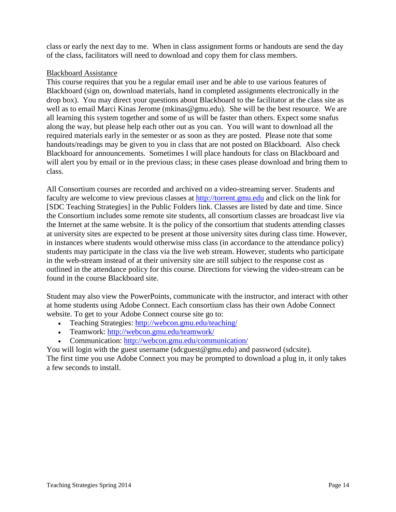class or early the next day to me. When in class assignment forms or handouts are send the day of the class, facilitators will need to download and copy them for class members.

### Blackboard Assistance

This course requires that you be a regular email user and be able to use various features of Blackboard (sign on, download materials, hand in completed assignments electronically in the drop box). You may direct your questions about Blackboard to the facilitator at the class site as well as to email Marci Kinas Jerome (mkinas@gmu.edu). She will be the best resource. We are all learning this system together and some of us will be faster than others. Expect some snafus along the way, but please help each other out as you can. You will want to download all the required materials early in the semester or as soon as they are posted. Please note that some handouts/readings may be given to you in class that are not posted on Blackboard. Also check Blackboard for announcements. Sometimes I will place handouts for class on Blackboard and will alert you by email or in the previous class; in these cases please download and bring them to class.

All Consortium courses are recorded and archived on a video-streaming server. Students and faculty are welcome to view previous classes at [http://torrent.gmu.edu](http://torrent.gmu.edu/) and click on the link for [SDC Teaching Strategies] in the Public Folders link. Classes are listed by date and time. Since the Consortium includes some remote site students, all consortium classes are broadcast live via the Internet at the same website. It is the policy of the consortium that students attending classes at university sites are expected to be present at those university sites during class time. However, in instances where students would otherwise miss class (in accordance to the attendance policy) students may participate in the class via the live web stream. However, students who participate in the web-stream instead of at their university site are still subject to the response cost as outlined in the attendance policy for this course. Directions for viewing the video-stream can be found in the course Blackboard site.

Student may also view the PowerPoints, communicate with the instructor, and interact with other at home students using Adobe Connect. Each consortium class has their own Adobe Connect website. To get to your Adobe Connect course site go to:

- Teaching Strategies:<http://webcon.gmu.edu/teaching/>
- Teamwork:<http://webcon.gmu.edu/teamwork/>
- Communication:<http://webcon.gmu.edu/communication/>

You will login with the guest username (sdcguest@gmu.edu) and password (sdcsite). The first time you use Adobe Connect you may be prompted to download a plug in, it only takes a few seconds to install.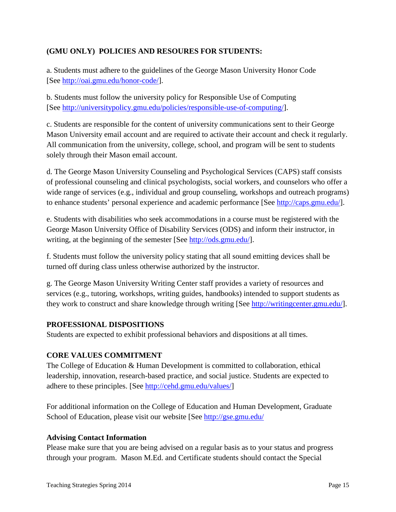# **(GMU ONLY) POLICIES AND RESOURES FOR STUDENTS:**

a. Students must adhere to the guidelines of the George Mason University Honor Code [See [http://oai.gmu.edu/honor-code/\]](http://oai.gmu.edu/honor-code/).

b. Students must follow the university policy for Responsible Use of Computing [See [http://universitypolicy.gmu.edu/policies/responsible-use-of-computing/\]](http://universitypolicy.gmu.edu/policies/responsible-use-of-computing/).

c. Students are responsible for the content of university communications sent to their George Mason University email account and are required to activate their account and check it regularly. All communication from the university, college, school, and program will be sent to students solely through their Mason email account.

d. The George Mason University Counseling and Psychological Services (CAPS) staff consists of professional counseling and clinical psychologists, social workers, and counselors who offer a wide range of services (e.g., individual and group counseling, workshops and outreach programs) to enhance students' personal experience and academic performance [See [http://caps.gmu.edu/\]](http://caps.gmu.edu/).

e. Students with disabilities who seek accommodations in a course must be registered with the George Mason University Office of Disability Services (ODS) and inform their instructor, in writing, at the beginning of the semester [See [http://ods.gmu.edu/\]](http://ods.gmu.edu/).

f. Students must follow the university policy stating that all sound emitting devices shall be turned off during class unless otherwise authorized by the instructor.

g. The George Mason University Writing Center staff provides a variety of resources and services (e.g., tutoring, workshops, writing guides, handbooks) intended to support students as they work to construct and share knowledge through writing [See [http://writingcenter.gmu.edu/\]](http://writingcenter.gmu.edu/).

## **PROFESSIONAL DISPOSITIONS**

Students are expected to exhibit professional behaviors and dispositions at all times.

## **CORE VALUES COMMITMENT**

The College of Education & Human Development is committed to collaboration, ethical leadership, innovation, research-based practice, and social justice. Students are expected to adhere to these principles. [See [http://cehd.gmu.edu/values/\]](http://cehd.gmu.edu/values/)

For additional information on the College of Education and Human Development, Graduate School of Education, please visit our website [See<http://gse.gmu.edu/>

#### **Advising Contact Information**

Please make sure that you are being advised on a regular basis as to your status and progress through your program. Mason M.Ed. and Certificate students should contact the Special